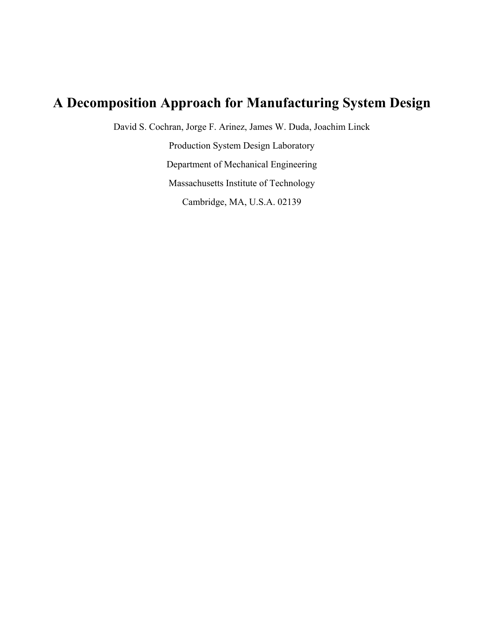# **A Decomposition Approach for Manufacturing System Design**

David S. Cochran, Jorge F. Arinez, James W. Duda, Joachim Linck

Production System Design Laboratory Department of Mechanical Engineering Massachusetts Institute of Technology Cambridge, MA, U.S.A. 02139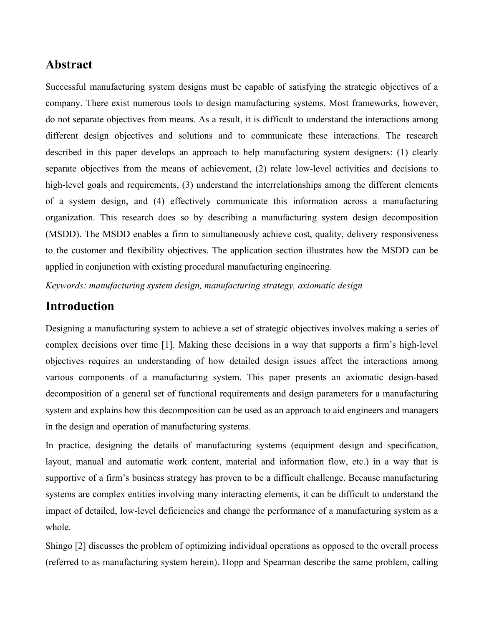## **Abstract**

Successful manufacturing system designs must be capable of satisfying the strategic objectives of a company. There exist numerous tools to design manufacturing systems. Most frameworks, however, do not separate objectives from means. As a result, it is difficult to understand the interactions among different design objectives and solutions and to communicate these interactions. The research described in this paper develops an approach to help manufacturing system designers: (1) clearly separate objectives from the means of achievement, (2) relate low-level activities and decisions to high-level goals and requirements, (3) understand the interrelationships among the different elements of a system design, and (4) effectively communicate this information across a manufacturing organization. This research does so by describing a manufacturing system design decomposition (MSDD). The MSDD enables a firm to simultaneously achieve cost, quality, delivery responsiveness to the customer and flexibility objectives. The application section illustrates how the MSDD can be applied in conjunction with existing procedural manufacturing engineering.

*Keywords: manufacturing system design, manufacturing strategy, axiomatic design* 

### **Introduction**

Designing a manufacturing system to achieve a set of strategic objectives involves making a series of complex decisions over time [1]. Making these decisions in a way that supports a firm's high-level objectives requires an understanding of how detailed design issues affect the interactions among various components of a manufacturing system. This paper presents an axiomatic design-based decomposition of a general set of functional requirements and design parameters for a manufacturing system and explains how this decomposition can be used as an approach to aid engineers and managers in the design and operation of manufacturing systems.

In practice, designing the details of manufacturing systems (equipment design and specification, layout, manual and automatic work content, material and information flow, etc.) in a way that is supportive of a firm's business strategy has proven to be a difficult challenge. Because manufacturing systems are complex entities involving many interacting elements, it can be difficult to understand the impact of detailed, low-level deficiencies and change the performance of a manufacturing system as a whole.

Shingo [2] discusses the problem of optimizing individual operations as opposed to the overall process (referred to as manufacturing system herein). Hopp and Spearman describe the same problem, calling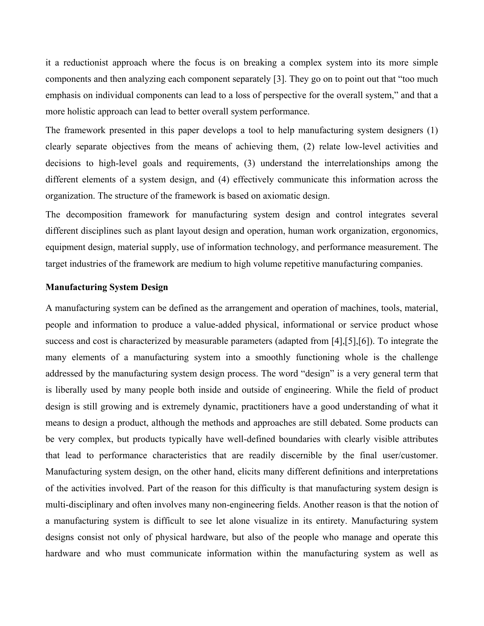it a reductionist approach where the focus is on breaking a complex system into its more simple components and then analyzing each component separately [3]. They go on to point out that "too much emphasis on individual components can lead to a loss of perspective for the overall system," and that a more holistic approach can lead to better overall system performance.

The framework presented in this paper develops a tool to help manufacturing system designers (1) clearly separate objectives from the means of achieving them, (2) relate low-level activities and decisions to high-level goals and requirements, (3) understand the interrelationships among the different elements of a system design, and (4) effectively communicate this information across the organization. The structure of the framework is based on axiomatic design.

The decomposition framework for manufacturing system design and control integrates several different disciplines such as plant layout design and operation, human work organization, ergonomics, equipment design, material supply, use of information technology, and performance measurement. The target industries of the framework are medium to high volume repetitive manufacturing companies.

#### **Manufacturing System Design**

A manufacturing system can be defined as the arrangement and operation of machines, tools, material, people and information to produce a value-added physical, informational or service product whose success and cost is characterized by measurable parameters (adapted from [4],[5],[6]). To integrate the many elements of a manufacturing system into a smoothly functioning whole is the challenge addressed by the manufacturing system design process. The word "design" is a very general term that is liberally used by many people both inside and outside of engineering. While the field of product design is still growing and is extremely dynamic, practitioners have a good understanding of what it means to design a product, although the methods and approaches are still debated. Some products can be very complex, but products typically have well-defined boundaries with clearly visible attributes that lead to performance characteristics that are readily discernible by the final user/customer. Manufacturing system design, on the other hand, elicits many different definitions and interpretations of the activities involved. Part of the reason for this difficulty is that manufacturing system design is multi-disciplinary and often involves many non-engineering fields. Another reason is that the notion of a manufacturing system is difficult to see let alone visualize in its entirety. Manufacturing system designs consist not only of physical hardware, but also of the people who manage and operate this hardware and who must communicate information within the manufacturing system as well as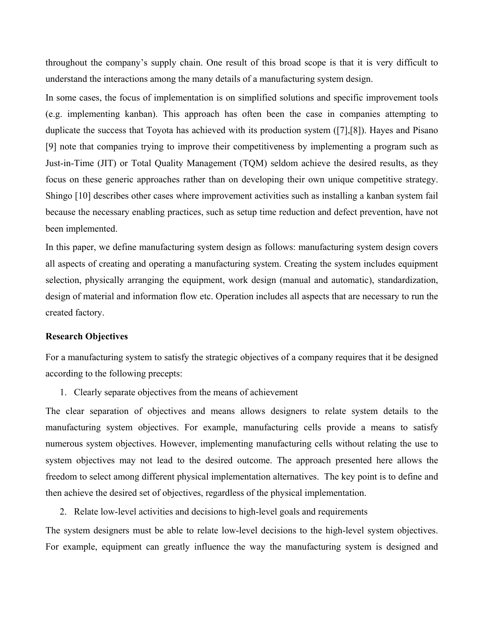throughout the company's supply chain. One result of this broad scope is that it is very difficult to understand the interactions among the many details of a manufacturing system design.

In some cases, the focus of implementation is on simplified solutions and specific improvement tools (e.g. implementing kanban). This approach has often been the case in companies attempting to duplicate the success that Toyota has achieved with its production system ([7],[8]). Hayes and Pisano [9] note that companies trying to improve their competitiveness by implementing a program such as Just-in-Time (JIT) or Total Quality Management (TQM) seldom achieve the desired results, as they focus on these generic approaches rather than on developing their own unique competitive strategy. Shingo [10] describes other cases where improvement activities such as installing a kanban system fail because the necessary enabling practices, such as setup time reduction and defect prevention, have not been implemented.

In this paper, we define manufacturing system design as follows: manufacturing system design covers all aspects of creating and operating a manufacturing system. Creating the system includes equipment selection, physically arranging the equipment, work design (manual and automatic), standardization, design of material and information flow etc. Operation includes all aspects that are necessary to run the created factory.

#### **Research Objectives**

For a manufacturing system to satisfy the strategic objectives of a company requires that it be designed according to the following precepts:

1. Clearly separate objectives from the means of achievement

The clear separation of objectives and means allows designers to relate system details to the manufacturing system objectives. For example, manufacturing cells provide a means to satisfy numerous system objectives. However, implementing manufacturing cells without relating the use to system objectives may not lead to the desired outcome. The approach presented here allows the freedom to select among different physical implementation alternatives. The key point is to define and then achieve the desired set of objectives, regardless of the physical implementation.

2. Relate low-level activities and decisions to high-level goals and requirements

The system designers must be able to relate low-level decisions to the high-level system objectives. For example, equipment can greatly influence the way the manufacturing system is designed and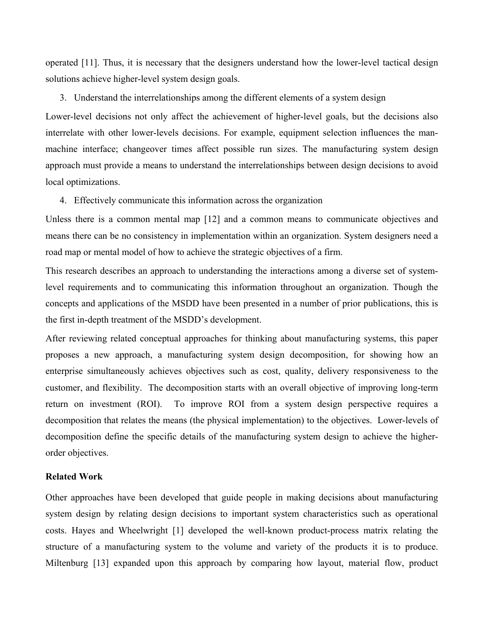operated [11]. Thus, it is necessary that the designers understand how the lower-level tactical design solutions achieve higher-level system design goals.

#### 3. Understand the interrelationships among the different elements of a system design

Lower-level decisions not only affect the achievement of higher-level goals, but the decisions also interrelate with other lower-levels decisions. For example, equipment selection influences the manmachine interface; changeover times affect possible run sizes. The manufacturing system design approach must provide a means to understand the interrelationships between design decisions to avoid local optimizations.

#### 4. Effectively communicate this information across the organization

Unless there is a common mental map [12] and a common means to communicate objectives and means there can be no consistency in implementation within an organization. System designers need a road map or mental model of how to achieve the strategic objectives of a firm.

This research describes an approach to understanding the interactions among a diverse set of systemlevel requirements and to communicating this information throughout an organization. Though the concepts and applications of the MSDD have been presented in a number of prior publications, this is the first in-depth treatment of the MSDD's development.

After reviewing related conceptual approaches for thinking about manufacturing systems, this paper proposes a new approach, a manufacturing system design decomposition, for showing how an enterprise simultaneously achieves objectives such as cost, quality, delivery responsiveness to the customer, and flexibility. The decomposition starts with an overall objective of improving long-term return on investment (ROI). To improve ROI from a system design perspective requires a decomposition that relates the means (the physical implementation) to the objectives. Lower-levels of decomposition define the specific details of the manufacturing system design to achieve the higherorder objectives.

#### **Related Work**

Other approaches have been developed that guide people in making decisions about manufacturing system design by relating design decisions to important system characteristics such as operational costs. Hayes and Wheelwright [1] developed the well-known product-process matrix relating the structure of a manufacturing system to the volume and variety of the products it is to produce. Miltenburg [13] expanded upon this approach by comparing how layout, material flow, product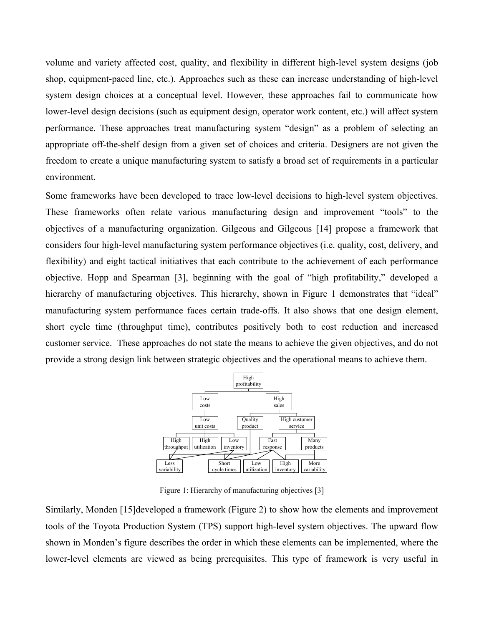volume and variety affected cost, quality, and flexibility in different high-level system designs (job shop, equipment-paced line, etc.). Approaches such as these can increase understanding of high-level system design choices at a conceptual level. However, these approaches fail to communicate how lower-level design decisions (such as equipment design, operator work content, etc.) will affect system performance. These approaches treat manufacturing system "design" as a problem of selecting an appropriate off-the-shelf design from a given set of choices and criteria. Designers are not given the freedom to create a unique manufacturing system to satisfy a broad set of requirements in a particular environment.

Some frameworks have been developed to trace low-level decisions to high-level system objectives. These frameworks often relate various manufacturing design and improvement "tools" to the objectives of a manufacturing organization. Gilgeous and Gilgeous [14] propose a framework that considers four high-level manufacturing system performance objectives (i.e. quality, cost, delivery, and flexibility) and eight tactical initiatives that each contribute to the achievement of each performance objective. Hopp and Spearman [3], beginning with the goal of "high profitability," developed a hierarchy of manufacturing objectives. This hierarchy, shown in Figure 1 demonstrates that "ideal" manufacturing system performance faces certain trade-offs. It also shows that one design element, short cycle time (throughput time), contributes positively both to cost reduction and increased customer service. These approaches do not state the means to achieve the given objectives, and do not provide a strong design link between strategic objectives and the operational means to achieve them.



Figure 1: Hierarchy of manufacturing objectives [3]

Similarly, Monden [15]developed a framework (Figure 2) to show how the elements and improvement tools of the Toyota Production System (TPS) support high-level system objectives. The upward flow shown in Monden's figure describes the order in which these elements can be implemented, where the lower-level elements are viewed as being prerequisites. This type of framework is very useful in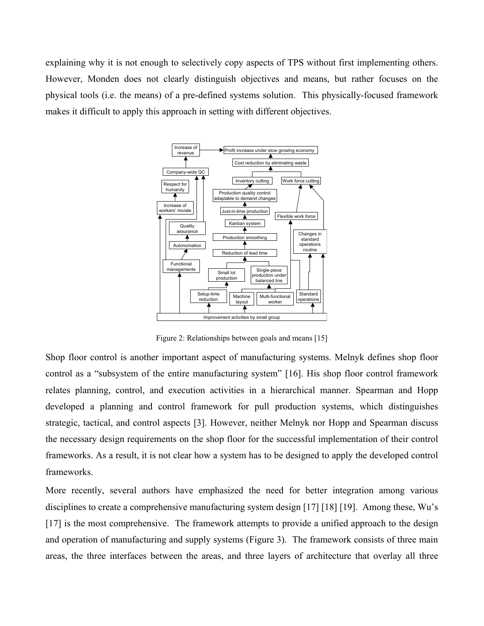explaining why it is not enough to selectively copy aspects of TPS without first implementing others. However, Monden does not clearly distinguish objectives and means, but rather focuses on the physical tools (i.e. the means) of a pre-defined systems solution. This physically-focused framework makes it difficult to apply this approach in setting with different objectives.



Figure 2: Relationships between goals and means [15]

Shop floor control is another important aspect of manufacturing systems. Melnyk defines shop floor control as a "subsystem of the entire manufacturing system" [16]. His shop floor control framework relates planning, control, and execution activities in a hierarchical manner. Spearman and Hopp developed a planning and control framework for pull production systems, which distinguishes strategic, tactical, and control aspects [3]. However, neither Melnyk nor Hopp and Spearman discuss the necessary design requirements on the shop floor for the successful implementation of their control frameworks. As a result, it is not clear how a system has to be designed to apply the developed control frameworks.

More recently, several authors have emphasized the need for better integration among various disciplines to create a comprehensive manufacturing system design [17] [18] [19]. Among these, Wu's [17] is the most comprehensive. The framework attempts to provide a unified approach to the design and operation of manufacturing and supply systems (Figure 3). The framework consists of three main areas, the three interfaces between the areas, and three layers of architecture that overlay all three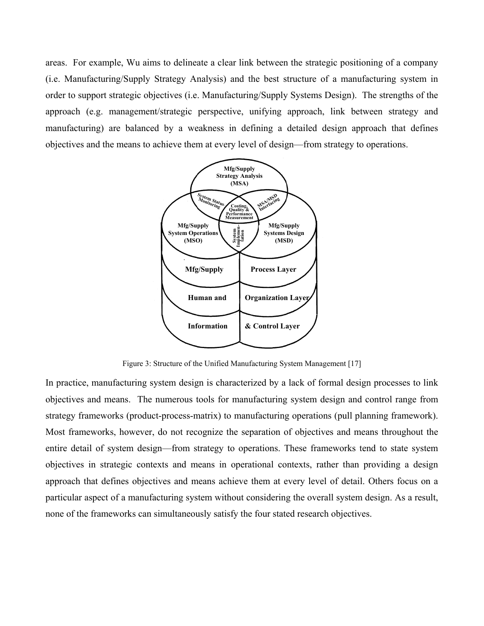areas. For example, Wu aims to delineate a clear link between the strategic positioning of a company (i.e. Manufacturing/Supply Strategy Analysis) and the best structure of a manufacturing system in order to support strategic objectives (i.e. Manufacturing/Supply Systems Design). The strengths of the approach (e.g. management/strategic perspective, unifying approach, link between strategy and manufacturing) are balanced by a weakness in defining a detailed design approach that defines objectives and the means to achieve them at every level of design—from strategy to operations.



Figure 3: Structure of the Unified Manufacturing System Management [17]

In practice, manufacturing system design is characterized by a lack of formal design processes to link objectives and means. The numerous tools for manufacturing system design and control range from strategy frameworks (product-process-matrix) to manufacturing operations (pull planning framework). Most frameworks, however, do not recognize the separation of objectives and means throughout the entire detail of system design—from strategy to operations. These frameworks tend to state system objectives in strategic contexts and means in operational contexts, rather than providing a design approach that defines objectives and means achieve them at every level of detail. Others focus on a particular aspect of a manufacturing system without considering the overall system design. As a result, none of the frameworks can simultaneously satisfy the four stated research objectives.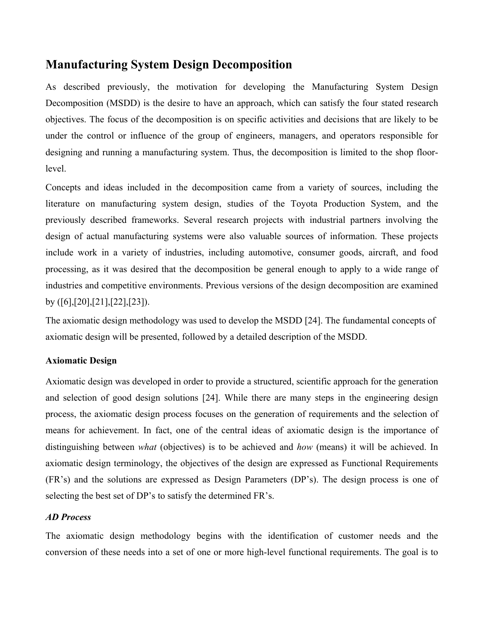## **Manufacturing System Design Decomposition**

As described previously, the motivation for developing the Manufacturing System Design Decomposition (MSDD) is the desire to have an approach, which can satisfy the four stated research objectives. The focus of the decomposition is on specific activities and decisions that are likely to be under the control or influence of the group of engineers, managers, and operators responsible for designing and running a manufacturing system. Thus, the decomposition is limited to the shop floorlevel.

Concepts and ideas included in the decomposition came from a variety of sources, including the literature on manufacturing system design, studies of the Toyota Production System, and the previously described frameworks. Several research projects with industrial partners involving the design of actual manufacturing systems were also valuable sources of information. These projects include work in a variety of industries, including automotive, consumer goods, aircraft, and food processing, as it was desired that the decomposition be general enough to apply to a wide range of industries and competitive environments. Previous versions of the design decomposition are examined by ([6],[20],[21],[22],[23]).

The axiomatic design methodology was used to develop the MSDD [24]. The fundamental concepts of axiomatic design will be presented, followed by a detailed description of the MSDD.

### **Axiomatic Design**

Axiomatic design was developed in order to provide a structured, scientific approach for the generation and selection of good design solutions [24]. While there are many steps in the engineering design process, the axiomatic design process focuses on the generation of requirements and the selection of means for achievement. In fact, one of the central ideas of axiomatic design is the importance of distinguishing between *what* (objectives) is to be achieved and *how* (means) it will be achieved. In axiomatic design terminology, the objectives of the design are expressed as Functional Requirements (FR's) and the solutions are expressed as Design Parameters (DP's). The design process is one of selecting the best set of DP's to satisfy the determined FR's.

#### *AD Process*

The axiomatic design methodology begins with the identification of customer needs and the conversion of these needs into a set of one or more high-level functional requirements. The goal is to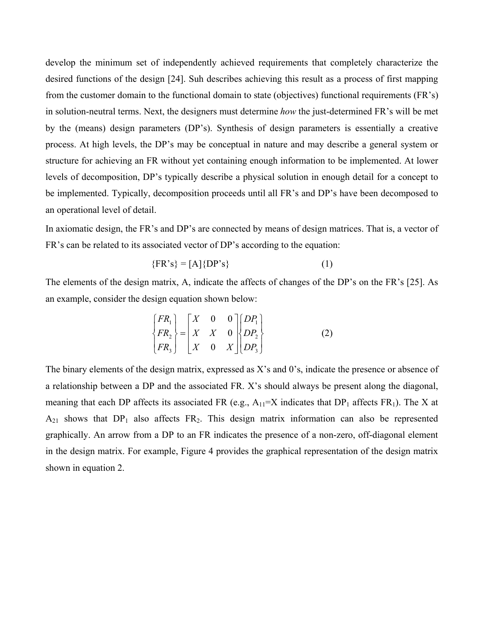develop the minimum set of independently achieved requirements that completely characterize the desired functions of the design [24]. Suh describes achieving this result as a process of first mapping from the customer domain to the functional domain to state (objectives) functional requirements (FR's) in solution-neutral terms. Next, the designers must determine *how* the just-determined FR's will be met by the (means) design parameters (DP's). Synthesis of design parameters is essentially a creative process. At high levels, the DP's may be conceptual in nature and may describe a general system or structure for achieving an FR without yet containing enough information to be implemented. At lower levels of decomposition, DP's typically describe a physical solution in enough detail for a concept to be implemented. Typically, decomposition proceeds until all FR's and DP's have been decomposed to an operational level of detail.

In axiomatic design, the FR's and DP's are connected by means of design matrices. That is, a vector of FR's can be related to its associated vector of DP's according to the equation:

$$
\{FR\text{'s}\} = [A]\{DP\text{'s}\}\tag{1}
$$

The elements of the design matrix, A, indicate the affects of changes of the DP's on the FR's [25]. As an example, consider the design equation shown below:

$$
\begin{Bmatrix} FR_1 \\ FR_2 \\ FR_3 \end{Bmatrix} = \begin{bmatrix} X & 0 & 0 \\ X & X & 0 \\ X & 0 & X \end{bmatrix} \begin{bmatrix} DP_1 \\ DP_2 \\ DP_3 \end{bmatrix}
$$
 (2)

The binary elements of the design matrix, expressed as X's and 0's, indicate the presence or absence of a relationship between a DP and the associated FR. X's should always be present along the diagonal, meaning that each DP affects its associated FR (e.g.,  $A_{11}=X$  indicates that DP<sub>1</sub> affects FR<sub>1</sub>). The X at  $A_{21}$  shows that  $DP_1$  also affects  $FR_2$ . This design matrix information can also be represented graphically. An arrow from a DP to an FR indicates the presence of a non-zero, off-diagonal element in the design matrix. For example, Figure 4 provides the graphical representation of the design matrix shown in equation 2.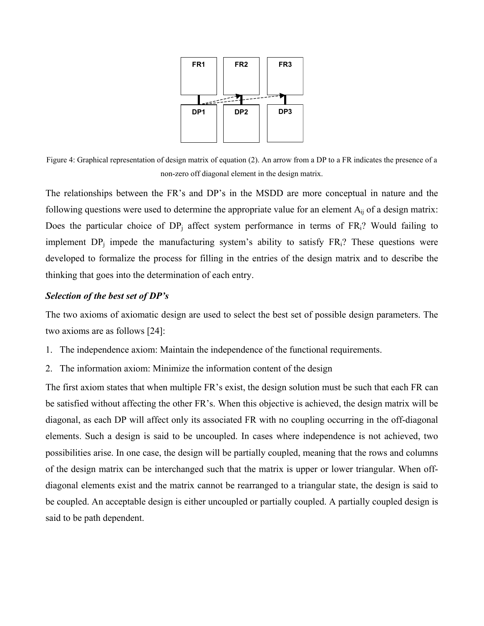

Figure 4: Graphical representation of design matrix of equation (2). An arrow from a DP to a FR indicates the presence of a non-zero off diagonal element in the design matrix.

The relationships between the FR's and DP's in the MSDD are more conceptual in nature and the following questions were used to determine the appropriate value for an element  $A_{ii}$  of a design matrix: Does the particular choice of  $DP_i$  affect system performance in terms of  $FR_i$ ? Would failing to implement  $DP_i$  impede the manufacturing system's ability to satisfy  $FR_i$ ? These questions were developed to formalize the process for filling in the entries of the design matrix and to describe the thinking that goes into the determination of each entry.

#### *Selection of the best set of DP's*

The two axioms of axiomatic design are used to select the best set of possible design parameters. The two axioms are as follows [24]:

- 1. The independence axiom: Maintain the independence of the functional requirements.
- 2. The information axiom: Minimize the information content of the design

The first axiom states that when multiple FR's exist, the design solution must be such that each FR can be satisfied without affecting the other FR's. When this objective is achieved, the design matrix will be diagonal, as each DP will affect only its associated FR with no coupling occurring in the off-diagonal elements. Such a design is said to be uncoupled. In cases where independence is not achieved, two possibilities arise. In one case, the design will be partially coupled, meaning that the rows and columns of the design matrix can be interchanged such that the matrix is upper or lower triangular. When offdiagonal elements exist and the matrix cannot be rearranged to a triangular state, the design is said to be coupled. An acceptable design is either uncoupled or partially coupled. A partially coupled design is said to be path dependent.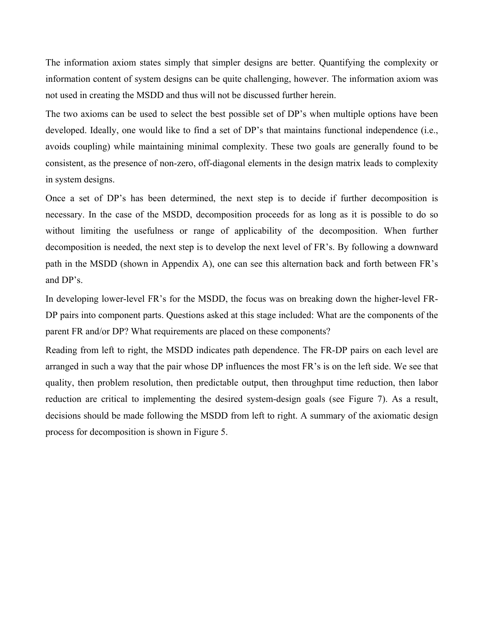The information axiom states simply that simpler designs are better. Quantifying the complexity or information content of system designs can be quite challenging, however. The information axiom was not used in creating the MSDD and thus will not be discussed further herein.

The two axioms can be used to select the best possible set of DP's when multiple options have been developed. Ideally, one would like to find a set of DP's that maintains functional independence (i.e., avoids coupling) while maintaining minimal complexity. These two goals are generally found to be consistent, as the presence of non-zero, off-diagonal elements in the design matrix leads to complexity in system designs.

Once a set of DP's has been determined, the next step is to decide if further decomposition is necessary. In the case of the MSDD, decomposition proceeds for as long as it is possible to do so without limiting the usefulness or range of applicability of the decomposition. When further decomposition is needed, the next step is to develop the next level of FR's. By following a downward path in the MSDD (shown in Appendix A), one can see this alternation back and forth between FR's and DP's.

In developing lower-level FR's for the MSDD, the focus was on breaking down the higher-level FR-DP pairs into component parts. Questions asked at this stage included: What are the components of the parent FR and/or DP? What requirements are placed on these components?

Reading from left to right, the MSDD indicates path dependence. The FR-DP pairs on each level are arranged in such a way that the pair whose DP influences the most FR's is on the left side. We see that quality, then problem resolution, then predictable output, then throughput time reduction, then labor reduction are critical to implementing the desired system-design goals (see Figure 7). As a result, decisions should be made following the MSDD from left to right. A summary of the axiomatic design process for decomposition is shown in Figure 5.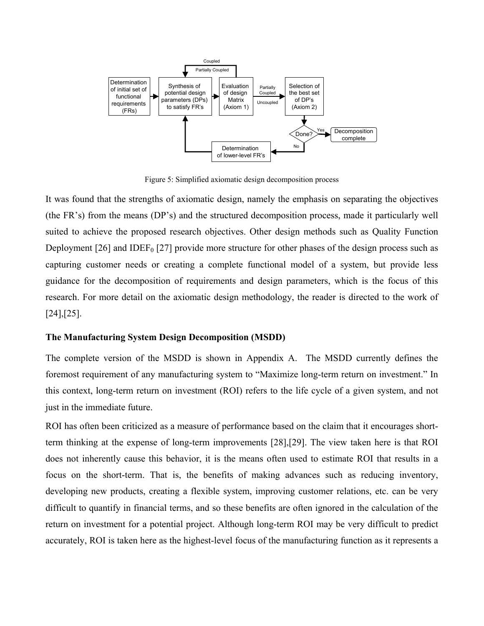

Figure 5: Simplified axiomatic design decomposition process

It was found that the strengths of axiomatic design, namely the emphasis on separating the objectives (the FR's) from the means (DP's) and the structured decomposition process, made it particularly well suited to achieve the proposed research objectives. Other design methods such as Quality Function Deployment [26] and IDEF<sub>0</sub> [27] provide more structure for other phases of the design process such as capturing customer needs or creating a complete functional model of a system, but provide less guidance for the decomposition of requirements and design parameters, which is the focus of this research. For more detail on the axiomatic design methodology, the reader is directed to the work of [24],[25].

#### **The Manufacturing System Design Decomposition (MSDD)**

The complete version of the MSDD is shown in Appendix A. The MSDD currently defines the foremost requirement of any manufacturing system to "Maximize long-term return on investment." In this context, long-term return on investment (ROI) refers to the life cycle of a given system, and not just in the immediate future.

ROI has often been criticized as a measure of performance based on the claim that it encourages shortterm thinking at the expense of long-term improvements [28],[29]. The view taken here is that ROI does not inherently cause this behavior, it is the means often used to estimate ROI that results in a focus on the short-term. That is, the benefits of making advances such as reducing inventory, developing new products, creating a flexible system, improving customer relations, etc. can be very difficult to quantify in financial terms, and so these benefits are often ignored in the calculation of the return on investment for a potential project. Although long-term ROI may be very difficult to predict accurately, ROI is taken here as the highest-level focus of the manufacturing function as it represents a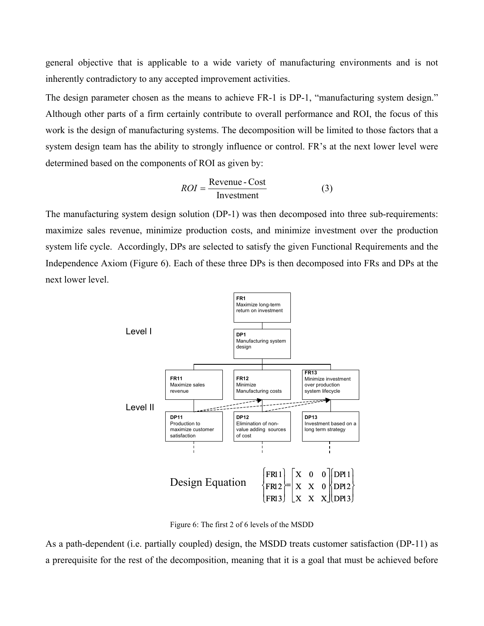general objective that is applicable to a wide variety of manufacturing environments and is not inherently contradictory to any accepted improvement activities.

The design parameter chosen as the means to achieve FR-1 is DP-1, "manufacturing system design." Although other parts of a firm certainly contribute to overall performance and ROI, the focus of this work is the design of manufacturing systems. The decomposition will be limited to those factors that a system design team has the ability to strongly influence or control. FR's at the next lower level were determined based on the components of ROI as given by:

$$
ROI = \frac{ Revenue - Cost}{Investment}
$$
 (3)

The manufacturing system design solution (DP-1) was then decomposed into three sub-requirements: maximize sales revenue, minimize production costs, and minimize investment over the production system life cycle. Accordingly, DPs are selected to satisfy the given Functional Requirements and the Independence Axiom (Figure 6). Each of these three DPs is then decomposed into FRs and DPs at the next lower level.



Figure 6: The first 2 of 6 levels of the MSDD

As a path-dependent (i.e. partially coupled) design, the MSDD treats customer satisfaction (DP-11) as a prerequisite for the rest of the decomposition, meaning that it is a goal that must be achieved before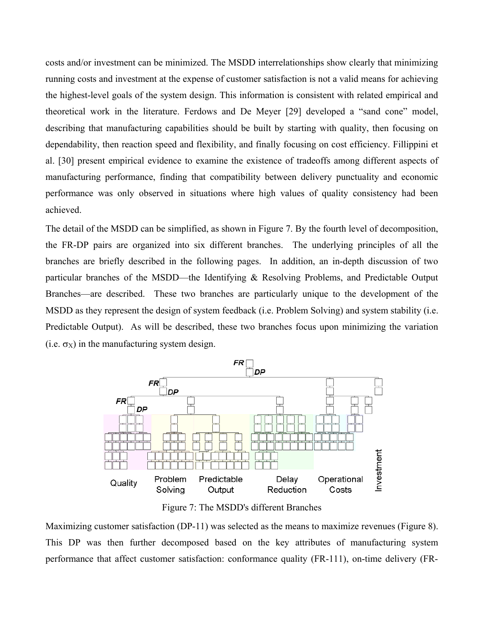costs and/or investment can be minimized. The MSDD interrelationships show clearly that minimizing running costs and investment at the expense of customer satisfaction is not a valid means for achieving the highest-level goals of the system design. This information is consistent with related empirical and theoretical work in the literature. Ferdows and De Meyer [29] developed a "sand cone" model, describing that manufacturing capabilities should be built by starting with quality, then focusing on dependability, then reaction speed and flexibility, and finally focusing on cost efficiency. Fillippini et al. [30] present empirical evidence to examine the existence of tradeoffs among different aspects of manufacturing performance, finding that compatibility between delivery punctuality and economic performance was only observed in situations where high values of quality consistency had been achieved.

The detail of the MSDD can be simplified, as shown in Figure 7. By the fourth level of decomposition, the FR-DP pairs are organized into six different branches. The underlying principles of all the branches are briefly described in the following pages. In addition, an in-depth discussion of two particular branches of the MSDD—the Identifying & Resolving Problems, and Predictable Output Branches—are described. These two branches are particularly unique to the development of the MSDD as they represent the design of system feedback (i.e. Problem Solving) and system stability (i.e. Predictable Output). As will be described, these two branches focus upon minimizing the variation (i.e.  $\sigma_X$ ) in the manufacturing system design.



Figure 7: The MSDD's different Branches

Maximizing customer satisfaction (DP-11) was selected as the means to maximize revenues (Figure 8). This DP was then further decomposed based on the key attributes of manufacturing system performance that affect customer satisfaction: conformance quality (FR-111), on-time delivery (FR-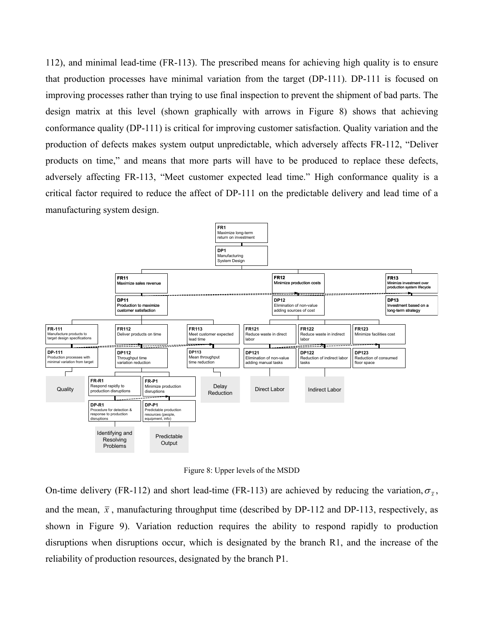112), and minimal lead-time (FR-113). The prescribed means for achieving high quality is to ensure that production processes have minimal variation from the target (DP-111). DP-111 is focused on improving processes rather than trying to use final inspection to prevent the shipment of bad parts. The design matrix at this level (shown graphically with arrows in Figure 8) shows that achieving conformance quality (DP-111) is critical for improving customer satisfaction. Quality variation and the production of defects makes system output unpredictable, which adversely affects FR-112, "Deliver products on time," and means that more parts will have to be produced to replace these defects, adversely affecting FR-113, "Meet customer expected lead time." High conformance quality is a critical factor required to reduce the affect of DP-111 on the predictable delivery and lead time of a manufacturing system design.



Figure 8: Upper levels of the MSDD

On-time delivery (FR-112) and short lead-time (FR-113) are achieved by reducing the variation,  $\sigma_{\bar{x}}$ , and the mean,  $\bar{x}$ , manufacturing throughput time (described by DP-112 and DP-113, respectively, as shown in Figure 9). Variation reduction requires the ability to respond rapidly to production disruptions when disruptions occur, which is designated by the branch R1, and the increase of the reliability of production resources, designated by the branch P1.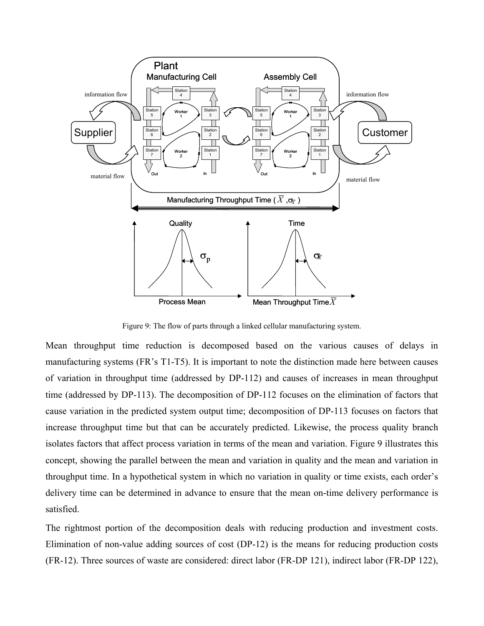

Figure 9: The flow of parts through a linked cellular manufacturing system.

Mean throughput time reduction is decomposed based on the various causes of delays in manufacturing systems (FR's T1-T5). It is important to note the distinction made here between causes of variation in throughput time (addressed by DP-112) and causes of increases in mean throughput time (addressed by DP-113). The decomposition of DP-112 focuses on the elimination of factors that cause variation in the predicted system output time; decomposition of DP-113 focuses on factors that increase throughput time but that can be accurately predicted. Likewise, the process quality branch isolates factors that affect process variation in terms of the mean and variation. Figure 9 illustrates this concept, showing the parallel between the mean and variation in quality and the mean and variation in throughput time. In a hypothetical system in which no variation in quality or time exists, each order's delivery time can be determined in advance to ensure that the mean on-time delivery performance is satisfied.

The rightmost portion of the decomposition deals with reducing production and investment costs. Elimination of non-value adding sources of cost (DP-12) is the means for reducing production costs (FR-12). Three sources of waste are considered: direct labor (FR-DP 121), indirect labor (FR-DP 122),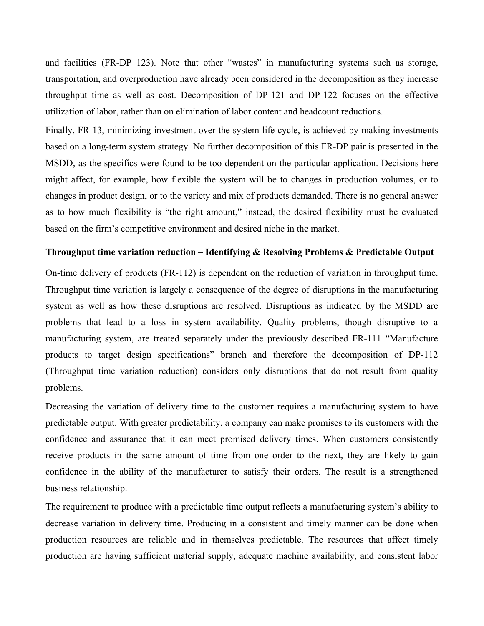and facilities (FR-DP 123). Note that other "wastes" in manufacturing systems such as storage, transportation, and overproduction have already been considered in the decomposition as they increase throughput time as well as cost. Decomposition of DP-121 and DP-122 focuses on the effective utilization of labor, rather than on elimination of labor content and headcount reductions.

Finally, FR-13, minimizing investment over the system life cycle, is achieved by making investments based on a long-term system strategy. No further decomposition of this FR-DP pair is presented in the MSDD, as the specifics were found to be too dependent on the particular application. Decisions here might affect, for example, how flexible the system will be to changes in production volumes, or to changes in product design, or to the variety and mix of products demanded. There is no general answer as to how much flexibility is "the right amount," instead, the desired flexibility must be evaluated based on the firm's competitive environment and desired niche in the market.

#### **Throughput time variation reduction – Identifying & Resolving Problems & Predictable Output**

On-time delivery of products (FR-112) is dependent on the reduction of variation in throughput time. Throughput time variation is largely a consequence of the degree of disruptions in the manufacturing system as well as how these disruptions are resolved. Disruptions as indicated by the MSDD are problems that lead to a loss in system availability. Quality problems, though disruptive to a manufacturing system, are treated separately under the previously described FR-111 "Manufacture products to target design specifications" branch and therefore the decomposition of DP-112 (Throughput time variation reduction) considers only disruptions that do not result from quality problems.

Decreasing the variation of delivery time to the customer requires a manufacturing system to have predictable output. With greater predictability, a company can make promises to its customers with the confidence and assurance that it can meet promised delivery times. When customers consistently receive products in the same amount of time from one order to the next, they are likely to gain confidence in the ability of the manufacturer to satisfy their orders. The result is a strengthened business relationship.

The requirement to produce with a predictable time output reflects a manufacturing system's ability to decrease variation in delivery time. Producing in a consistent and timely manner can be done when production resources are reliable and in themselves predictable. The resources that affect timely production are having sufficient material supply, adequate machine availability, and consistent labor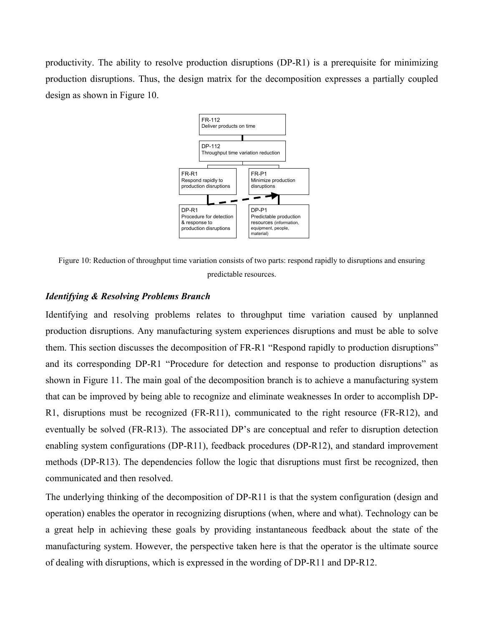productivity. The ability to resolve production disruptions (DP-R1) is a prerequisite for minimizing production disruptions. Thus, the design matrix for the decomposition expresses a partially coupled design as shown in Figure 10.



Figure 10: Reduction of throughput time variation consists of two parts: respond rapidly to disruptions and ensuring predictable resources.

#### *Identifying & Resolving Problems Branch*

Identifying and resolving problems relates to throughput time variation caused by unplanned production disruptions. Any manufacturing system experiences disruptions and must be able to solve them. This section discusses the decomposition of FR-R1 "Respond rapidly to production disruptions" and its corresponding DP-R1 "Procedure for detection and response to production disruptions" as shown in Figure 11. The main goal of the decomposition branch is to achieve a manufacturing system that can be improved by being able to recognize and eliminate weaknesses In order to accomplish DP-R1, disruptions must be recognized (FR-R11), communicated to the right resource (FR-R12), and eventually be solved (FR-R13). The associated DP's are conceptual and refer to disruption detection enabling system configurations (DP-R11), feedback procedures (DP-R12), and standard improvement methods (DP-R13). The dependencies follow the logic that disruptions must first be recognized, then communicated and then resolved.

The underlying thinking of the decomposition of DP-R11 is that the system configuration (design and operation) enables the operator in recognizing disruptions (when, where and what). Technology can be a great help in achieving these goals by providing instantaneous feedback about the state of the manufacturing system. However, the perspective taken here is that the operator is the ultimate source of dealing with disruptions, which is expressed in the wording of DP-R11 and DP-R12.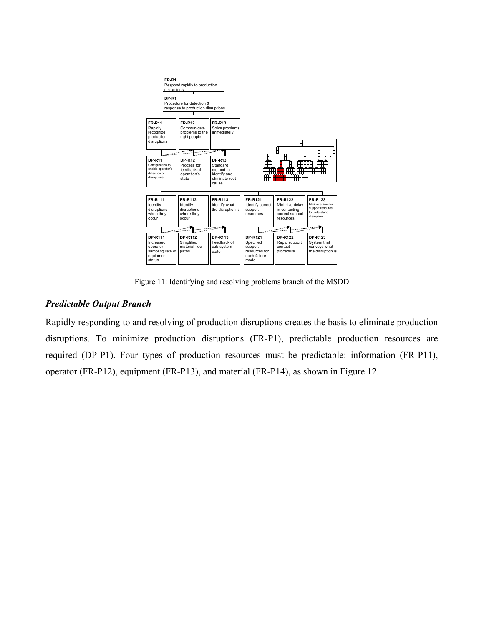

Figure 11: Identifying and resolving problems branch of the MSDD

#### *Predictable Output Branch*

Rapidly responding to and resolving of production disruptions creates the basis to eliminate production disruptions. To minimize production disruptions (FR-P1), predictable production resources are required (DP-P1). Four types of production resources must be predictable: information (FR-P11), operator (FR-P12), equipment (FR-P13), and material (FR-P14), as shown in Figure 12.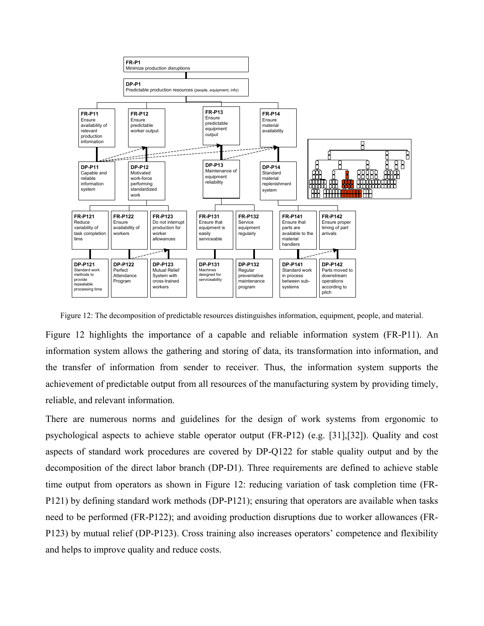

Figure 12: The decomposition of predictable resources distinguishes information, equipment, people, and material.

Figure 12 highlights the importance of a capable and reliable information system (FR-P11). An information system allows the gathering and storing of data, its transformation into information, and the transfer of information from sender to receiver. Thus, the information system supports the achievement of predictable output from all resources of the manufacturing system by providing timely, reliable, and relevant information.

There are numerous norms and guidelines for the design of work systems from ergonomic to psychological aspects to achieve stable operator output (FR-P12) (e.g. [31],[32]). Quality and cost aspects of standard work procedures are covered by DP-Q122 for stable quality output and by the decomposition of the direct labor branch (DP-D1). Three requirements are defined to achieve stable time output from operators as shown in Figure 12: reducing variation of task completion time (FR-P121) by defining standard work methods (DP-P121); ensuring that operators are available when tasks need to be performed (FR-P122); and avoiding production disruptions due to worker allowances (FR-P123) by mutual relief (DP-P123). Cross training also increases operators' competence and flexibility and helps to improve quality and reduce costs.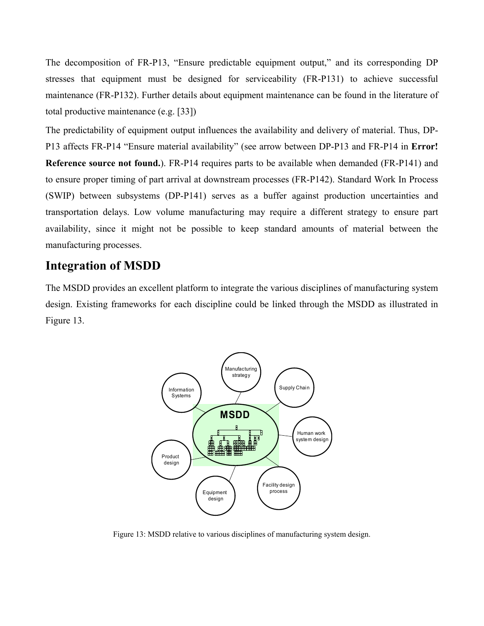The decomposition of FR-P13, "Ensure predictable equipment output," and its corresponding DP stresses that equipment must be designed for serviceability (FR-P131) to achieve successful maintenance (FR-P132). Further details about equipment maintenance can be found in the literature of total productive maintenance (e.g. [33])

The predictability of equipment output influences the availability and delivery of material. Thus, DP-P13 affects FR-P14 "Ensure material availability" (see arrow between DP-P13 and FR-P14 in **Error! Reference source not found.**). FR-P14 requires parts to be available when demanded (FR-P141) and to ensure proper timing of part arrival at downstream processes (FR-P142). Standard Work In Process (SWIP) between subsystems (DP-P141) serves as a buffer against production uncertainties and transportation delays. Low volume manufacturing may require a different strategy to ensure part availability, since it might not be possible to keep standard amounts of material between the manufacturing processes.

## **Integration of MSDD**

The MSDD provides an excellent platform to integrate the various disciplines of manufacturing system design. Existing frameworks for each discipline could be linked through the MSDD as illustrated in Figure 13.



Figure 13: MSDD relative to various disciplines of manufacturing system design.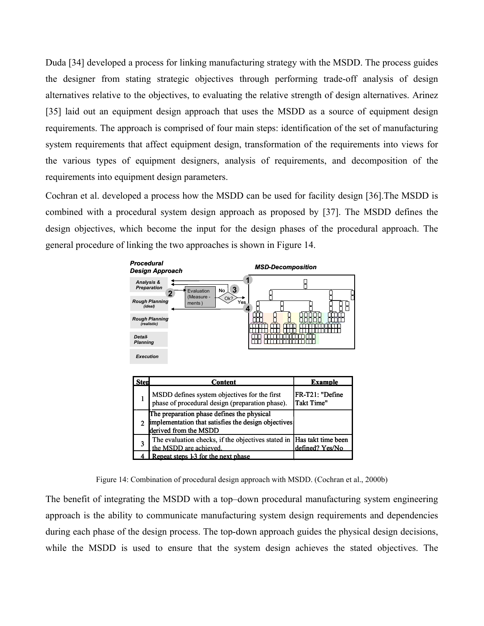Duda [34] developed a process for linking manufacturing strategy with the MSDD. The process guides the designer from stating strategic objectives through performing trade-off analysis of design alternatives relative to the objectives, to evaluating the relative strength of design alternatives. Arinez [35] laid out an equipment design approach that uses the MSDD as a source of equipment design requirements. The approach is comprised of four main steps: identification of the set of manufacturing system requirements that affect equipment design, transformation of the requirements into views for the various types of equipment designers, analysis of requirements, and decomposition of the requirements into equipment design parameters.

Cochran et al. developed a process how the MSDD can be used for facility design [36].The MSDD is combined with a procedural system design approach as proposed by [37]. The MSDD defines the design objectives, which become the input for the design phases of the procedural approach. The general procedure of linking the two approaches is shown in Figure 14.





The benefit of integrating the MSDD with a top–down procedural manufacturing system engineering approach is the ability to communicate manufacturing system design requirements and dependencies during each phase of the design process. The top-down approach guides the physical design decisions, while the MSDD is used to ensure that the system design achieves the stated objectives. The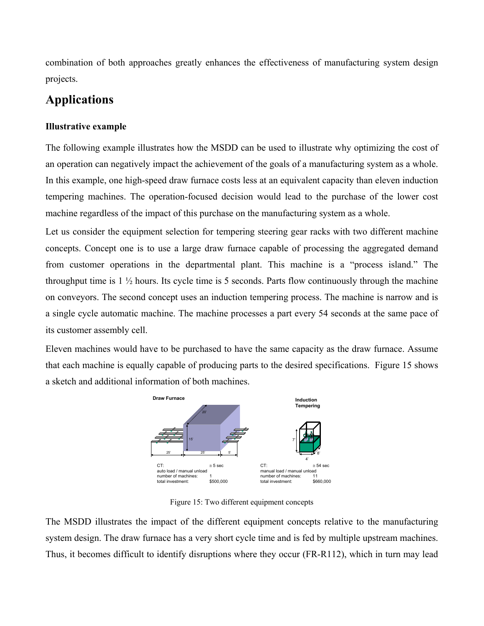combination of both approaches greatly enhances the effectiveness of manufacturing system design projects.

# **Applications**

### **Illustrative example**

The following example illustrates how the MSDD can be used to illustrate why optimizing the cost of an operation can negatively impact the achievement of the goals of a manufacturing system as a whole. In this example, one high-speed draw furnace costs less at an equivalent capacity than eleven induction tempering machines. The operation-focused decision would lead to the purchase of the lower cost machine regardless of the impact of this purchase on the manufacturing system as a whole.

Let us consider the equipment selection for tempering steering gear racks with two different machine concepts. Concept one is to use a large draw furnace capable of processing the aggregated demand from customer operations in the departmental plant. This machine is a "process island." The throughput time is  $1\frac{1}{2}$  hours. Its cycle time is 5 seconds. Parts flow continuously through the machine on conveyors. The second concept uses an induction tempering process. The machine is narrow and is a single cycle automatic machine. The machine processes a part every 54 seconds at the same pace of its customer assembly cell.

Eleven machines would have to be purchased to have the same capacity as the draw furnace. Assume that each machine is equally capable of producing parts to the desired specifications. Figure 15 shows a sketch and additional information of both machines.



Figure 15: Two different equipment concepts

The MSDD illustrates the impact of the different equipment concepts relative to the manufacturing system design. The draw furnace has a very short cycle time and is fed by multiple upstream machines. Thus, it becomes difficult to identify disruptions where they occur (FR-R112), which in turn may lead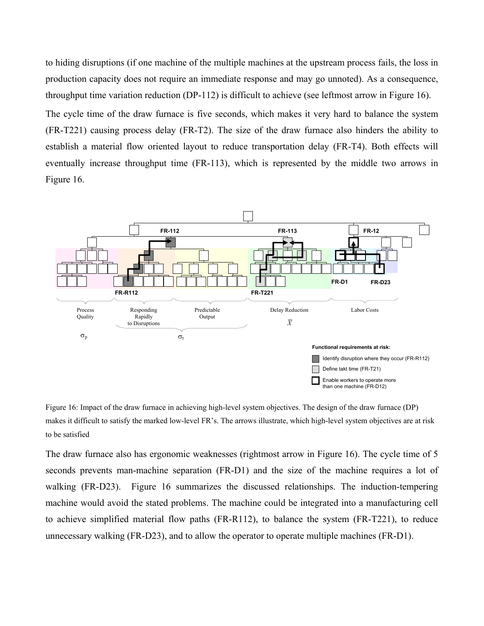to hiding disruptions (if one machine of the multiple machines at the upstream process fails, the loss in production capacity does not require an immediate response and may go unnoted). As a consequence, throughput time variation reduction (DP-112) is difficult to achieve (see leftmost arrow in Figure 16).

The cycle time of the draw furnace is five seconds, which makes it very hard to balance the system (FR-T221) causing process delay (FR-T2). The size of the draw furnace also hinders the ability to establish a material flow oriented layout to reduce transportation delay (FR-T4). Both effects will eventually increase throughput time (FR-113), which is represented by the middle two arrows in Figure 16.



Figure 16: Impact of the draw furnace in achieving high-level system objectives. The design of the draw furnace (DP) makes it difficult to satisfy the marked low-level FR's. The arrows illustrate, which high-level system objectives are at risk to be satisfied

The draw furnace also has ergonomic weaknesses (rightmost arrow in Figure 16). The cycle time of 5 seconds prevents man-machine separation (FR-D1) and the size of the machine requires a lot of walking (FR-D23). Figure 16 summarizes the discussed relationships. The induction-tempering machine would avoid the stated problems. The machine could be integrated into a manufacturing cell to achieve simplified material flow paths (FR-R112), to balance the system (FR-T221), to reduce unnecessary walking (FR-D23), and to allow the operator to operate multiple machines (FR-D1).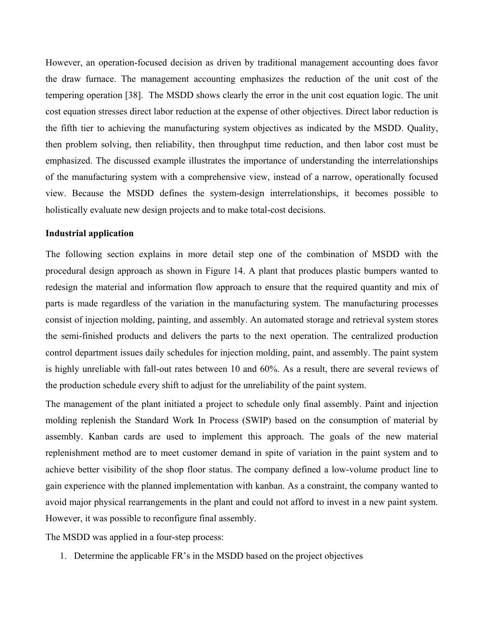However, an operation-focused decision as driven by traditional management accounting does favor the draw furnace. The management accounting emphasizes the reduction of the unit cost of the tempering operation [38]. The MSDD shows clearly the error in the unit cost equation logic. The unit cost equation stresses direct labor reduction at the expense of other objectives. Direct labor reduction is the fifth tier to achieving the manufacturing system objectives as indicated by the MSDD. Quality, then problem solving, then reliability, then throughput time reduction, and then labor cost must be emphasized. The discussed example illustrates the importance of understanding the interrelationships of the manufacturing system with a comprehensive view, instead of a narrow, operationally focused view. Because the MSDD defines the system-design interrelationships, it becomes possible to holistically evaluate new design projects and to make total-cost decisions.

#### **Industrial application**

The following section explains in more detail step one of the combination of MSDD with the procedural design approach as shown in Figure 14. A plant that produces plastic bumpers wanted to redesign the material and information flow approach to ensure that the required quantity and mix of parts is made regardless of the variation in the manufacturing system. The manufacturing processes consist of injection molding, painting, and assembly. An automated storage and retrieval system stores the semi-finished products and delivers the parts to the next operation. The centralized production control department issues daily schedules for injection molding, paint, and assembly. The paint system is highly unreliable with fall-out rates between 10 and 60%. As a result, there are several reviews of the production schedule every shift to adjust for the unreliability of the paint system.

The management of the plant initiated a project to schedule only final assembly. Paint and injection molding replenish the Standard Work In Process (SWIP) based on the consumption of material by assembly. Kanban cards are used to implement this approach. The goals of the new material replenishment method are to meet customer demand in spite of variation in the paint system and to achieve better visibility of the shop floor status. The company defined a low-volume product line to gain experience with the planned implementation with kanban. As a constraint, the company wanted to avoid major physical rearrangements in the plant and could not afford to invest in a new paint system. However, it was possible to reconfigure final assembly.

The MSDD was applied in a four-step process:

1. Determine the applicable FR's in the MSDD based on the project objectives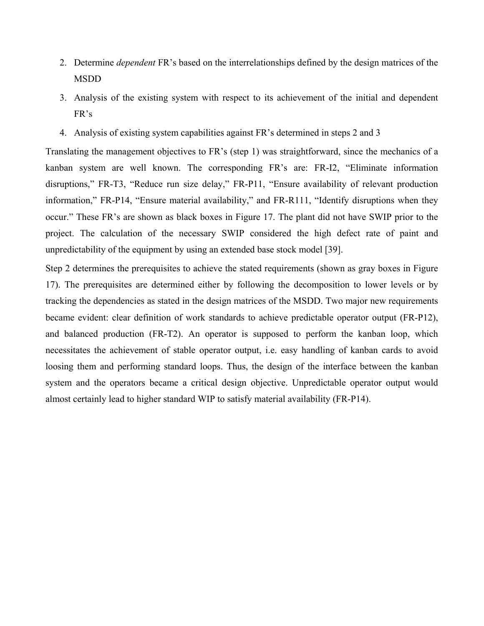- 2. Determine *dependent* FR's based on the interrelationships defined by the design matrices of the MSDD
- 3. Analysis of the existing system with respect to its achievement of the initial and dependent FR's
- 4. Analysis of existing system capabilities against FR's determined in steps 2 and 3

Translating the management objectives to FR's (step 1) was straightforward, since the mechanics of a kanban system are well known. The corresponding FR's are: FR-I2, "Eliminate information disruptions," FR-T3, "Reduce run size delay," FR-P11, "Ensure availability of relevant production information," FR-P14, "Ensure material availability," and FR-R111, "Identify disruptions when they occur." These FR's are shown as black boxes in Figure 17. The plant did not have SWIP prior to the project. The calculation of the necessary SWIP considered the high defect rate of paint and unpredictability of the equipment by using an extended base stock model [39].

Step 2 determines the prerequisites to achieve the stated requirements (shown as gray boxes in Figure 17). The prerequisites are determined either by following the decomposition to lower levels or by tracking the dependencies as stated in the design matrices of the MSDD. Two major new requirements became evident: clear definition of work standards to achieve predictable operator output (FR-P12), and balanced production (FR-T2). An operator is supposed to perform the kanban loop, which necessitates the achievement of stable operator output, i.e. easy handling of kanban cards to avoid loosing them and performing standard loops. Thus, the design of the interface between the kanban system and the operators became a critical design objective. Unpredictable operator output would almost certainly lead to higher standard WIP to satisfy material availability (FR-P14).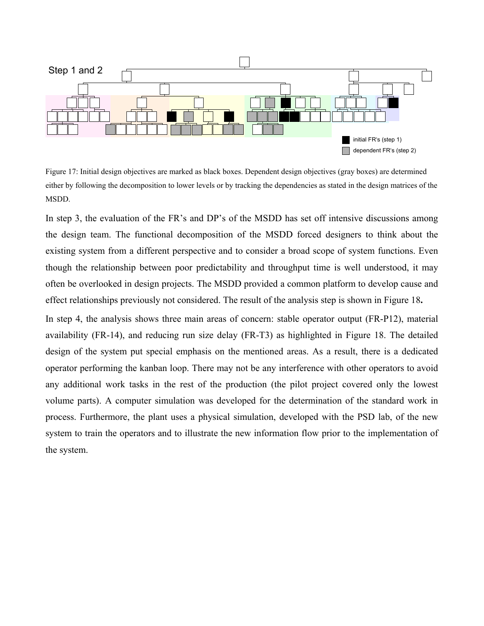

Figure 17: Initial design objectives are marked as black boxes. Dependent design objectives (gray boxes) are determined either by following the decomposition to lower levels or by tracking the dependencies as stated in the design matrices of the MSDD.

In step 3, the evaluation of the FR's and DP's of the MSDD has set off intensive discussions among the design team. The functional decomposition of the MSDD forced designers to think about the existing system from a different perspective and to consider a broad scope of system functions. Even though the relationship between poor predictability and throughput time is well understood, it may often be overlooked in design projects. The MSDD provided a common platform to develop cause and effect relationships previously not considered. The result of the analysis step is shown in Figure 18**.**

In step 4, the analysis shows three main areas of concern: stable operator output (FR-P12), material availability (FR-14), and reducing run size delay (FR-T3) as highlighted in Figure 18. The detailed design of the system put special emphasis on the mentioned areas. As a result, there is a dedicated operator performing the kanban loop. There may not be any interference with other operators to avoid any additional work tasks in the rest of the production (the pilot project covered only the lowest volume parts). A computer simulation was developed for the determination of the standard work in process. Furthermore, the plant uses a physical simulation, developed with the PSD lab, of the new system to train the operators and to illustrate the new information flow prior to the implementation of the system.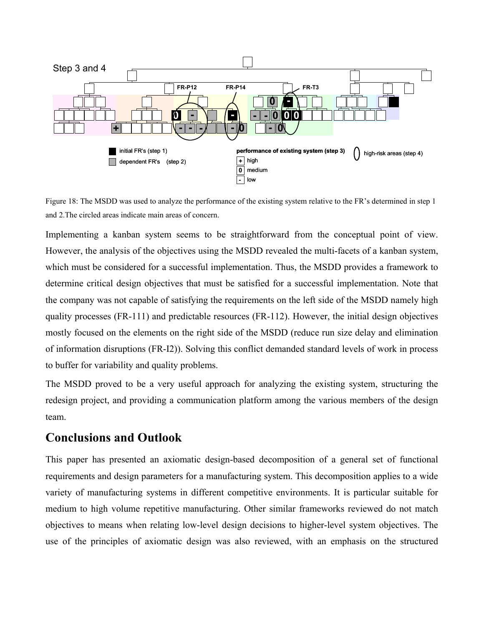

Figure 18: The MSDD was used to analyze the performance of the existing system relative to the FR's determined in step 1 and 2.The circled areas indicate main areas of concern.

Implementing a kanban system seems to be straightforward from the conceptual point of view. However, the analysis of the objectives using the MSDD revealed the multi-facets of a kanban system, which must be considered for a successful implementation. Thus, the MSDD provides a framework to determine critical design objectives that must be satisfied for a successful implementation. Note that the company was not capable of satisfying the requirements on the left side of the MSDD namely high quality processes (FR-111) and predictable resources (FR-112). However, the initial design objectives mostly focused on the elements on the right side of the MSDD (reduce run size delay and elimination of information disruptions (FR-I2)). Solving this conflict demanded standard levels of work in process to buffer for variability and quality problems.

The MSDD proved to be a very useful approach for analyzing the existing system, structuring the redesign project, and providing a communication platform among the various members of the design team.

## **Conclusions and Outlook**

This paper has presented an axiomatic design-based decomposition of a general set of functional requirements and design parameters for a manufacturing system. This decomposition applies to a wide variety of manufacturing systems in different competitive environments. It is particular suitable for medium to high volume repetitive manufacturing. Other similar frameworks reviewed do not match objectives to means when relating low-level design decisions to higher-level system objectives. The use of the principles of axiomatic design was also reviewed, with an emphasis on the structured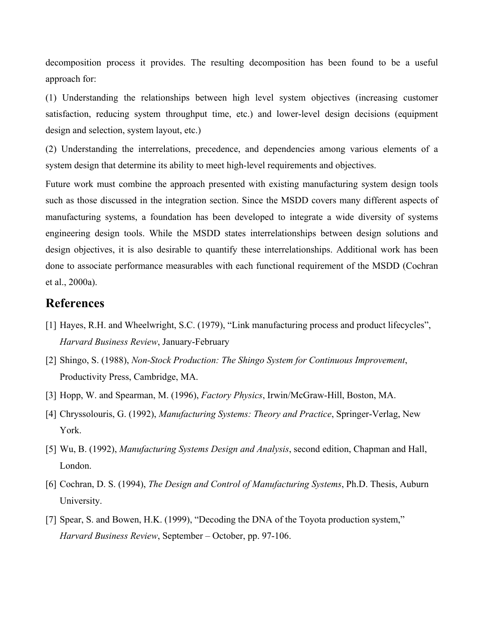decomposition process it provides. The resulting decomposition has been found to be a useful approach for:

(1) Understanding the relationships between high level system objectives (increasing customer satisfaction, reducing system throughput time, etc.) and lower-level design decisions (equipment design and selection, system layout, etc.)

(2) Understanding the interrelations, precedence, and dependencies among various elements of a system design that determine its ability to meet high-level requirements and objectives.

Future work must combine the approach presented with existing manufacturing system design tools such as those discussed in the integration section. Since the MSDD covers many different aspects of manufacturing systems, a foundation has been developed to integrate a wide diversity of systems engineering design tools. While the MSDD states interrelationships between design solutions and design objectives, it is also desirable to quantify these interrelationships. Additional work has been done to associate performance measurables with each functional requirement of the MSDD (Cochran et al., 2000a).

### **References**

- [1] Hayes, R.H. and Wheelwright, S.C. (1979), "Link manufacturing process and product lifecycles", *Harvard Business Review*, January-February
- [2] Shingo, S. (1988), *Non-Stock Production: The Shingo System for Continuous Improvement*, Productivity Press, Cambridge, MA.
- [3] Hopp, W. and Spearman, M. (1996), *Factory Physics*, Irwin/McGraw-Hill, Boston, MA.
- [4] Chryssolouris, G. (1992), *Manufacturing Systems: Theory and Practice*, Springer-Verlag, New York.
- [5] Wu, B. (1992), *Manufacturing Systems Design and Analysis*, second edition, Chapman and Hall, London.
- [6] Cochran, D. S. (1994), *The Design and Control of Manufacturing Systems*, Ph.D. Thesis, Auburn University.
- [7] Spear, S. and Bowen, H.K. (1999), "Decoding the DNA of the Toyota production system," *Harvard Business Review*, September – October, pp. 97-106.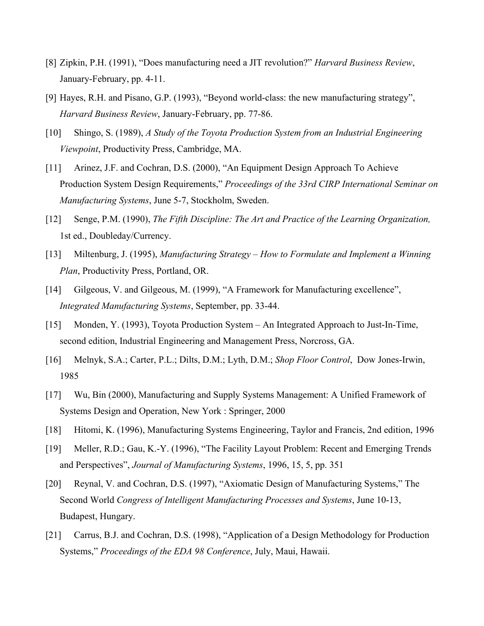- [8] Zipkin, P.H. (1991), "Does manufacturing need a JIT revolution?" *Harvard Business Review*, January-February, pp. 4-11.
- [9] Hayes, R.H. and Pisano, G.P. (1993), "Beyond world-class: the new manufacturing strategy", *Harvard Business Review*, January-February, pp. 77-86.
- [10] Shingo, S. (1989), *A Study of the Toyota Production System from an Industrial Engineering Viewpoint*, Productivity Press, Cambridge, MA.
- [11] Arinez, J.F. and Cochran, D.S. (2000), "An Equipment Design Approach To Achieve Production System Design Requirements," *Proceedings of the 33rd CIRP International Seminar on Manufacturing Systems*, June 5-7, Stockholm, Sweden.
- [12] Senge, P.M. (1990), *The Fifth Discipline: The Art and Practice of the Learning Organization,* 1st ed., Doubleday/Currency.
- [13] Miltenburg, J. (1995), *Manufacturing Strategy How to Formulate and Implement a Winning Plan*, Productivity Press, Portland, OR.
- [14] Gilgeous, V. and Gilgeous, M. (1999), "A Framework for Manufacturing excellence", *Integrated Manufacturing Systems*, September, pp. 33-44.
- [15] Monden, Y. (1993), Toyota Production System An Integrated Approach to Just-In-Time, second edition, Industrial Engineering and Management Press, Norcross, GA.
- [16] Melnyk, S.A.; Carter, P.L.; Dilts, D.M.; Lyth, D.M.; *Shop Floor Control*, Dow Jones-Irwin, 1985
- [17] Wu, Bin (2000), Manufacturing and Supply Systems Management: A Unified Framework of Systems Design and Operation, New York : Springer, 2000
- [18] Hitomi, K. (1996), Manufacturing Systems Engineering, Taylor and Francis, 2nd edition, 1996
- [19] Meller, R.D.; Gau, K.-Y. (1996), "The Facility Layout Problem: Recent and Emerging Trends and Perspectives", *Journal of Manufacturing Systems*, 1996, 15, 5, pp. 351
- [20] Reynal, V. and Cochran, D.S. (1997), "Axiomatic Design of Manufacturing Systems," The Second World *Congress of Intelligent Manufacturing Processes and Systems*, June 10-13, Budapest, Hungary.
- [21] Carrus, B.J. and Cochran, D.S. (1998), "Application of a Design Methodology for Production Systems," *Proceedings of the EDA 98 Conference*, July, Maui, Hawaii.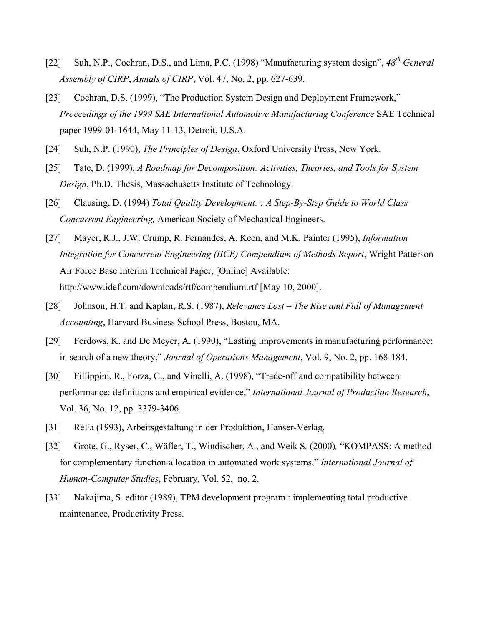- [22] Suh, N.P., Cochran, D.S., and Lima, P.C. (1998) "Manufacturing system design", *48th General Assembly of CIRP*, *Annals of CIRP*, Vol. 47, No. 2, pp. 627-639.
- [23] Cochran, D.S. (1999), "The Production System Design and Deployment Framework," *Proceedings of the 1999 SAE International Automotive Manufacturing Conference* SAE Technical paper 1999-01-1644, May 11-13, Detroit, U.S.A.
- [24] Suh, N.P. (1990), *The Principles of Design*, Oxford University Press, New York.
- [25] Tate, D. (1999), *A Roadmap for Decomposition: Activities, Theories, and Tools for System Design*, Ph.D. Thesis, Massachusetts Institute of Technology.
- [26] Clausing, D. (1994) *Total Quality Development: : A Step-By-Step Guide to World Class Concurrent Engineering,* American Society of Mechanical Engineers.
- [27] Mayer, R.J., J.W. Crump, R. Fernandes, A. Keen, and M.K. Painter (1995), *Information Integration for Concurrent Engineering (IICE) Compendium of Methods Report*, Wright Patterson Air Force Base Interim Technical Paper, [Online] Available: http://www.idef.com/downloads/rtf/compendium.rtf [May 10, 2000].
- [28] Johnson, H.T. and Kaplan, R.S. (1987), *Relevance Lost The Rise and Fall of Management Accounting*, Harvard Business School Press, Boston, MA.
- [29] Ferdows, K. and De Meyer, A. (1990), "Lasting improvements in manufacturing performance: in search of a new theory," *Journal of Operations Management*, Vol. 9, No. 2, pp. 168-184.
- [30] Fillippini, R., Forza, C., and Vinelli, A. (1998), "Trade-off and compatibility between performance: definitions and empirical evidence," *International Journal of Production Research*, Vol. 36, No. 12, pp. 3379-3406.
- [31] ReFa (1993), Arbeitsgestaltung in der Produktion, Hanser-Verlag.
- [32] Grote, G., Ryser, C., Wäfler, T., Windischer, A., and Weik S*.* (2000)*,* "KOMPASS: A method for complementary function allocation in automated work systems," *International Journal of Human-Computer Studies*, February, Vol. 52, no. 2.
- [33] Nakajima, S. editor (1989), TPM development program : implementing total productive maintenance, Productivity Press.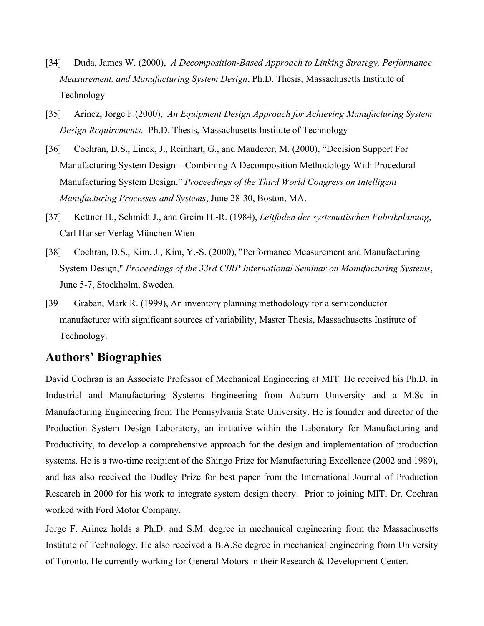- [34] Duda, James W. (2000), *A Decomposition-Based Approach to Linking Strategy, Performance Measurement, and Manufacturing System Design*, Ph.D. Thesis, Massachusetts Institute of Technology
- [35] Arinez, Jorge F.(2000), *An Equipment Design Approach for Achieving Manufacturing System Design Requirements,* Ph.D. Thesis, Massachusetts Institute of Technology
- [36] Cochran, D.S., Linck, J., Reinhart, G., and Mauderer, M. (2000), "Decision Support For Manufacturing System Design – Combining A Decomposition Methodology With Procedural Manufacturing System Design," *Proceedings of the Third World Congress on Intelligent Manufacturing Processes and Systems*, June 28-30, Boston, MA.
- [37] Kettner H., Schmidt J., and Greim H.-R. (1984), *Leitfaden der systematischen Fabrikplanung*, Carl Hanser Verlag München Wien
- [38] Cochran, D.S., Kim, J., Kim, Y.-S. (2000), "Performance Measurement and Manufacturing System Design," *Proceedings of the 33rd CIRP International Seminar on Manufacturing Systems*, June 5-7, Stockholm, Sweden.
- [39] Graban, Mark R. (1999), An inventory planning methodology for a semiconductor manufacturer with significant sources of variability, Master Thesis, Massachusetts Institute of Technology.

### **Authors' Biographies**

David Cochran is an Associate Professor of Mechanical Engineering at MIT. He received his Ph.D. in Industrial and Manufacturing Systems Engineering from Auburn University and a M.Sc in Manufacturing Engineering from The Pennsylvania State University. He is founder and director of the Production System Design Laboratory, an initiative within the Laboratory for Manufacturing and Productivity, to develop a comprehensive approach for the design and implementation of production systems. He is a two-time recipient of the Shingo Prize for Manufacturing Excellence (2002 and 1989), and has also received the Dudley Prize for best paper from the International Journal of Production Research in 2000 for his work to integrate system design theory. Prior to joining MIT, Dr. Cochran worked with Ford Motor Company.

Jorge F. Arinez holds a Ph.D. and S.M. degree in mechanical engineering from the Massachusetts Institute of Technology. He also received a B.A.Sc degree in mechanical engineering from University of Toronto. He currently working for General Motors in their Research & Development Center.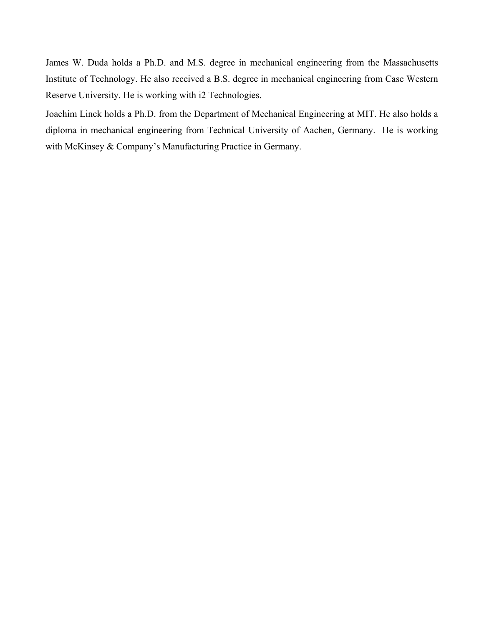James W. Duda holds a Ph.D. and M.S. degree in mechanical engineering from the Massachusetts Institute of Technology. He also received a B.S. degree in mechanical engineering from Case Western Reserve University. He is working with i2 Technologies.

Joachim Linck holds a Ph.D. from the Department of Mechanical Engineering at MIT. He also holds a diploma in mechanical engineering from Technical University of Aachen, Germany. He is working with McKinsey & Company's Manufacturing Practice in Germany.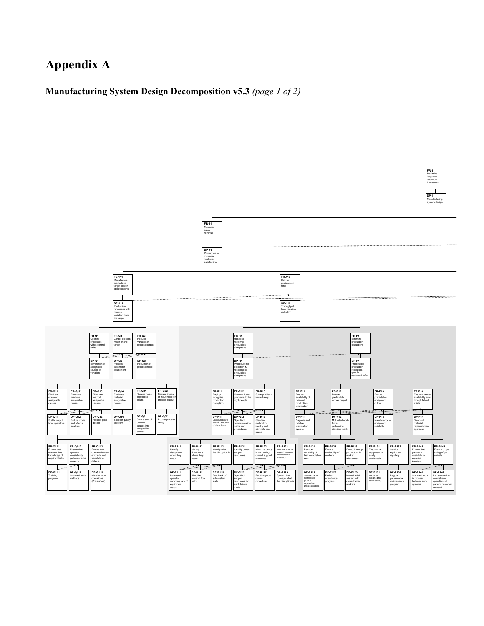# **Appendix A**

**Manufacturing System Design Decomposition v5.3** *(page 1 of 2)* 



**FR-1** Maximize long-term